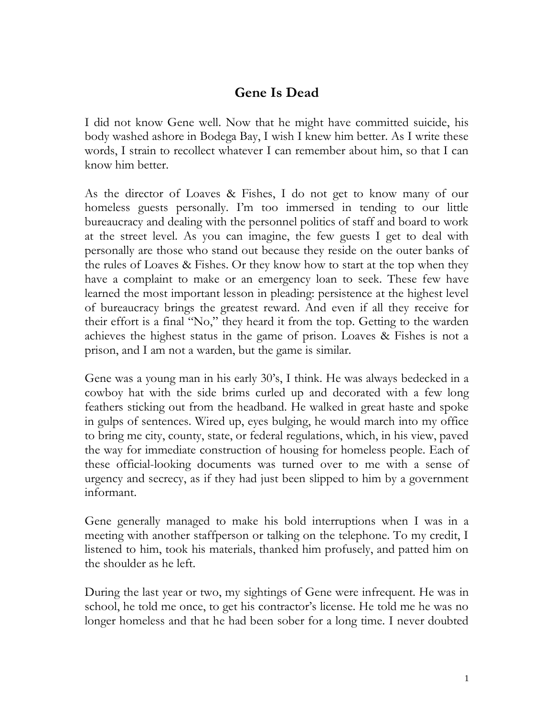## **Gene Is Dead**

I did not know Gene well. Now that he might have committed suicide, his body washed ashore in Bodega Bay, I wish I knew him better. As I write these words, I strain to recollect whatever I can remember about him, so that I can know him better.

As the director of Loaves & Fishes, I do not get to know many of our homeless guests personally. I'm too immersed in tending to our little bureaucracy and dealing with the personnel politics of staff and board to work at the street level. As you can imagine, the few guests I get to deal with personally are those who stand out because they reside on the outer banks of the rules of Loaves & Fishes. Or they know how to start at the top when they have a complaint to make or an emergency loan to seek. These few have learned the most important lesson in pleading: persistence at the highest level of bureaucracy brings the greatest reward. And even if all they receive for their effort is a final "No," they heard it from the top. Getting to the warden achieves the highest status in the game of prison. Loaves & Fishes is not a prison, and I am not a warden, but the game is similar.

Gene was a young man in his early 30's, I think. He was always bedecked in a cowboy hat with the side brims curled up and decorated with a few long feathers sticking out from the headband. He walked in great haste and spoke in gulps of sentences. Wired up, eyes bulging, he would march into my office to bring me city, county, state, or federal regulations, which, in his view, paved the way for immediate construction of housing for homeless people. Each of these official-looking documents was turned over to me with a sense of urgency and secrecy, as if they had just been slipped to him by a government informant.

Gene generally managed to make his bold interruptions when I was in a meeting with another staffperson or talking on the telephone. To my credit, I listened to him, took his materials, thanked him profusely, and patted him on the shoulder as he left.

During the last year or two, my sightings of Gene were infrequent. He was in school, he told me once, to get his contractor's license. He told me he was no longer homeless and that he had been sober for a long time. I never doubted